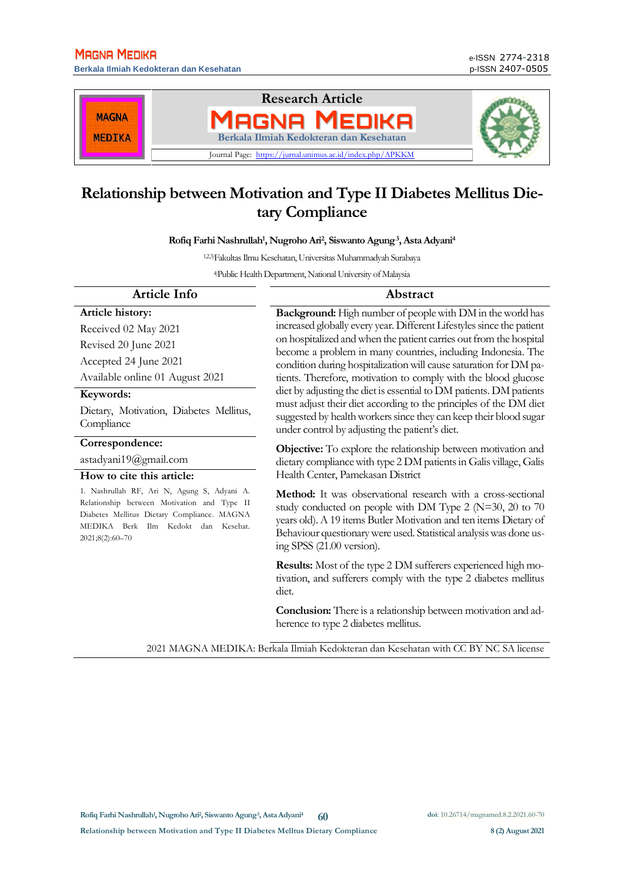**Berkala Ilmiah Kedokteran dan Kesehatan** p-ISSN 2407-0505



# **Relationship between Motivation and Type II Diabetes Mellitus Dietary Compliance**

**Rofiq Farhi Nashrullah<sup>1</sup> , Nugroho Ari<sup>2</sup> , Siswanto Agung<sup>3</sup> , Asta Adyani<sup>4</sup>**

1,2,3)FakultasIlmu Kesehatan, Universitas Muhammadyah Surabaya

4)Public Health Department,National University of Malaysia

| <b>Article Info</b>                                                                                                                                                                                 | Abstract                                                                                                                                                                                                                                                                                             |
|-----------------------------------------------------------------------------------------------------------------------------------------------------------------------------------------------------|------------------------------------------------------------------------------------------------------------------------------------------------------------------------------------------------------------------------------------------------------------------------------------------------------|
| Article history:                                                                                                                                                                                    | <b>Background:</b> High number of people with DM in the world has                                                                                                                                                                                                                                    |
| Received 02 May 2021                                                                                                                                                                                | increased globally every year. Different Lifestyles since the patient                                                                                                                                                                                                                                |
| Revised 20 June 2021                                                                                                                                                                                | on hospitalized and when the patient carries out from the hospital<br>become a problem in many countries, including Indonesia. The                                                                                                                                                                   |
| Accepted 24 June 2021                                                                                                                                                                               | condition during hospitalization will cause saturation for DM pa-                                                                                                                                                                                                                                    |
| Available online 01 August 2021                                                                                                                                                                     | tients. Therefore, motivation to comply with the blood glucose                                                                                                                                                                                                                                       |
| Keywords:                                                                                                                                                                                           | diet by adjusting the diet is essential to DM patients. DM patients                                                                                                                                                                                                                                  |
| Dietary, Motivation, Diabetes Mellitus,<br>Compliance                                                                                                                                               | must adjust their diet according to the principles of the DM diet<br>suggested by health workers since they can keep their blood sugar<br>under control by adjusting the patient's diet.                                                                                                             |
| Correspondence:                                                                                                                                                                                     | <b>Objective:</b> To explore the relationship between motivation and                                                                                                                                                                                                                                 |
| astadyani19@gmail.com                                                                                                                                                                               | dietary compliance with type 2 DM patients in Galis village, Galis                                                                                                                                                                                                                                   |
| How to cite this article:                                                                                                                                                                           | Health Center, Pamekasan District                                                                                                                                                                                                                                                                    |
| 1. Nashrullah RF, Ari N, Agung S, Adyani A.<br>Relationship between Motivation and Type II<br>Diabetes Mellitus Dietary Compliance. MAGNA<br>MEDIKA Berk Ilm Kedokt dan Kesehat.<br>2021;8(2):60-70 | Method: It was observational research with a cross-sectional<br>study conducted on people with DM Type 2 ( $N=30$ , 20 to 70<br>years old). A 19 items Butler Motivation and ten items Dietary of<br>Behaviour questionary were used. Statistical analysis was done us-<br>ing SPSS (21.00 version). |
|                                                                                                                                                                                                     | <b>Results:</b> Most of the type 2 DM sufferers experienced high mo-<br>tivation, and sufferers comply with the type 2 diabetes mellitus<br>diet.                                                                                                                                                    |
|                                                                                                                                                                                                     | <b>Conclusion:</b> There is a relationship between motivation and ad-                                                                                                                                                                                                                                |

2021 MAGNA MEDIKA: Berkala Ilmiah Kedokteran dan Kesehatan with CC BY NC SA license

herence to type 2 diabetes mellitus.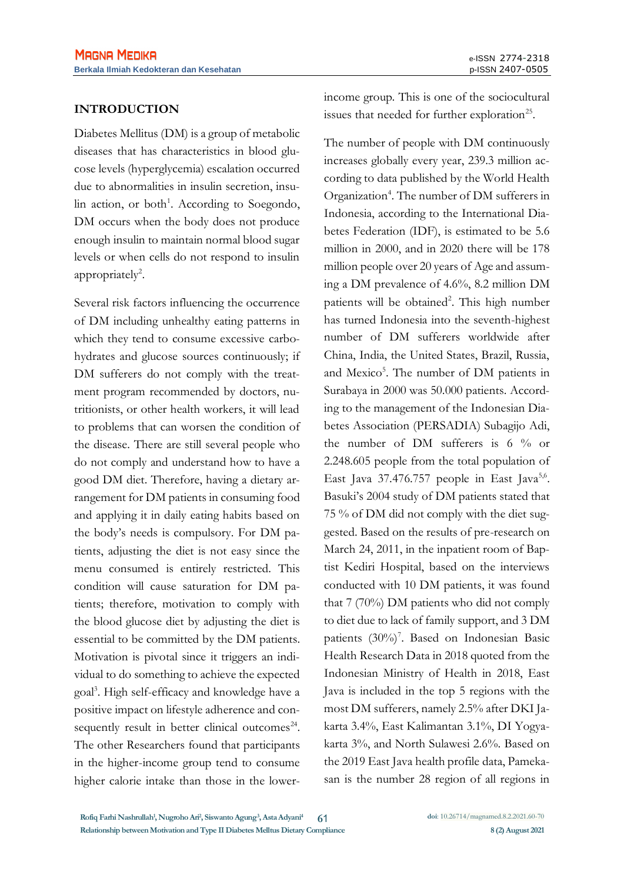## **INTRODUCTION**

Diabetes Mellitus (DM) is a group of metabolic diseases that has characteristics in blood glucose levels (hyperglycemia) escalation occurred due to abnormalities in insulin secretion, insulin action, or both<sup>1</sup>. According to Soegondo, DM occurs when the body does not produce enough insulin to maintain normal blood sugar levels or when cells do not respond to insulin appropriately<sup>2</sup>.

Several risk factors influencing the occurrence of DM including unhealthy eating patterns in which they tend to consume excessive carbohydrates and glucose sources continuously; if DM sufferers do not comply with the treatment program recommended by doctors, nutritionists, or other health workers, it will lead to problems that can worsen the condition of the disease. There are still several people who do not comply and understand how to have a good DM diet. Therefore, having a dietary arrangement for DM patients in consuming food and applying it in daily eating habits based on the body's needs is compulsory. For DM patients, adjusting the diet is not easy since the menu consumed is entirely restricted. This condition will cause saturation for DM patients; therefore, motivation to comply with the blood glucose diet by adjusting the diet is essential to be committed by the DM patients. Motivation is pivotal since it triggers an individual to do something to achieve the expected goal<sup>3</sup> . High self-efficacy and knowledge have a positive impact on lifestyle adherence and consequently result in better clinical outcomes $24$ . The other Researchers found that participants in the higher-income group tend to consume higher calorie intake than those in the lowerincome group. This is one of the sociocultural issues that needed for further exploration<sup>25</sup>.

The number of people with DM continuously increases globally every year, 239.3 million according to data published by the World Health Organization<sup>4</sup>. The number of DM sufferers in Indonesia, according to the International Diabetes Federation (IDF), is estimated to be 5.6 million in 2000, and in 2020 there will be 178 million people over 20 years of Age and assuming a DM prevalence of 4.6%, 8.2 million DM patients will be obtained<sup>2</sup>. This high number has turned Indonesia into the seventh-highest number of DM sufferers worldwide after China, India, the United States, Brazil, Russia, and Mexico<sup>5</sup>. The number of DM patients in Surabaya in 2000 was 50.000 patients. According to the management of the Indonesian Diabetes Association (PERSADIA) Subagijo Adi, the number of DM sufferers is  $6\%$  or 2.248.605 people from the total population of East Java  $37.476.757$  people in East Java<sup>5,6</sup>. Basuki's 2004 study of DM patients stated that 75 % of DM did not comply with the diet suggested. Based on the results of pre-research on March 24, 2011, in the inpatient room of Baptist Kediri Hospital, based on the interviews conducted with 10 DM patients, it was found that 7 (70%) DM patients who did not comply to diet due to lack of family support, and 3 DM patients (30%)<sup>7</sup>. Based on Indonesian Basic Health Research Data in 2018 quoted from the Indonesian Ministry of Health in 2018, East Java is included in the top 5 regions with the most DM sufferers, namely 2.5% after DKI Jakarta 3.4%, East Kalimantan 3.1%, DI Yogyakarta 3%, and North Sulawesi 2.6%. Based on the 2019 East Java health profile data, Pamekasan is the number 28 region of all regions in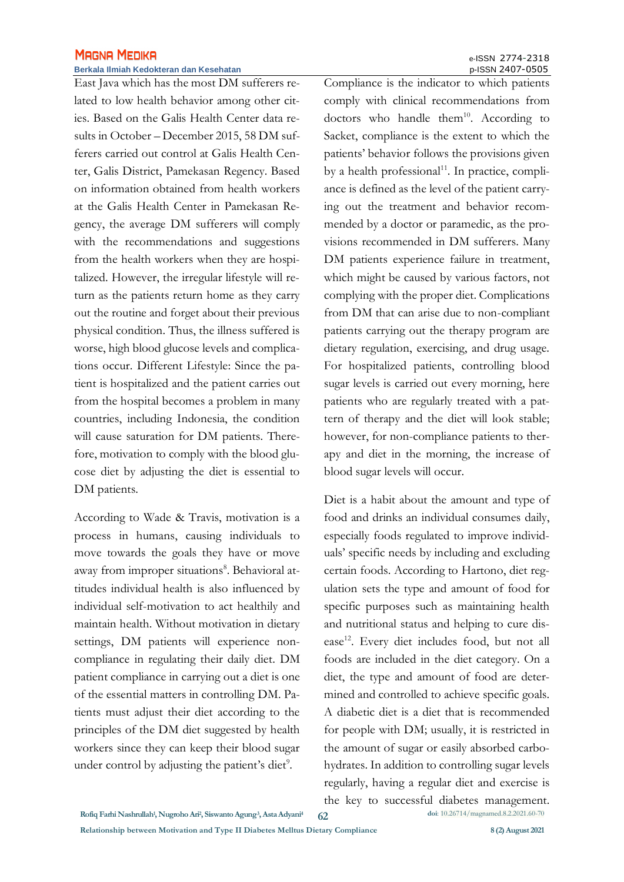#### **Berkala Ilmiah Kedokteran dan Kesehatan** p-ISSN 2407-0505

East Java which has the most DM sufferers related to low health behavior among other cities. Based on the Galis Health Center data results in October – December 2015, 58 DM sufferers carried out control at Galis Health Center, Galis District, Pamekasan Regency. Based on information obtained from health workers at the Galis Health Center in Pamekasan Regency, the average DM sufferers will comply with the recommendations and suggestions from the health workers when they are hospitalized. However, the irregular lifestyle will return as the patients return home as they carry out the routine and forget about their previous physical condition. Thus, the illness suffered is worse, high blood glucose levels and complications occur. Different Lifestyle: Since the patient is hospitalized and the patient carries out from the hospital becomes a problem in many countries, including Indonesia, the condition will cause saturation for DM patients. Therefore, motivation to comply with the blood glucose diet by adjusting the diet is essential to DM patients.

According to Wade & Travis, motivation is a process in humans, causing individuals to move towards the goals they have or move away from improper situations<sup>8</sup>. Behavioral attitudes individual health is also influenced by individual self-motivation to act healthily and maintain health. Without motivation in dietary settings, DM patients will experience noncompliance in regulating their daily diet. DM patient compliance in carrying out a diet is one of the essential matters in controlling DM. Patients must adjust their diet according to the principles of the DM diet suggested by health workers since they can keep their blood sugar under control by adjusting the patient's diet<sup>9</sup>.

Compliance is the indicator to which patients comply with clinical recommendations from doctors who handle them $10$ . According to Sacket, compliance is the extent to which the patients' behavior follows the provisions given by a health professional<sup>11</sup>. In practice, compliance is defined as the level of the patient carrying out the treatment and behavior recommended by a doctor or paramedic, as the provisions recommended in DM sufferers. Many DM patients experience failure in treatment, which might be caused by various factors, not complying with the proper diet. Complications from DM that can arise due to non-compliant patients carrying out the therapy program are dietary regulation, exercising, and drug usage. For hospitalized patients, controlling blood sugar levels is carried out every morning, here patients who are regularly treated with a pattern of therapy and the diet will look stable; however, for non-compliance patients to therapy and diet in the morning, the increase of blood sugar levels will occur.

Diet is a habit about the amount and type of food and drinks an individual consumes daily, especially foods regulated to improve individuals' specific needs by including and excluding certain foods. According to Hartono, diet regulation sets the type and amount of food for specific purposes such as maintaining health and nutritional status and helping to cure disease<sup>12</sup>. Every diet includes food, but not all foods are included in the diet category. On a diet, the type and amount of food are determined and controlled to achieve specific goals. A diabetic diet is a diet that is recommended for people with DM; usually, it is restricted in the amount of sugar or easily absorbed carbohydrates. In addition to controlling sugar levels regularly, having a regular diet and exercise is the key to successful diabetes management.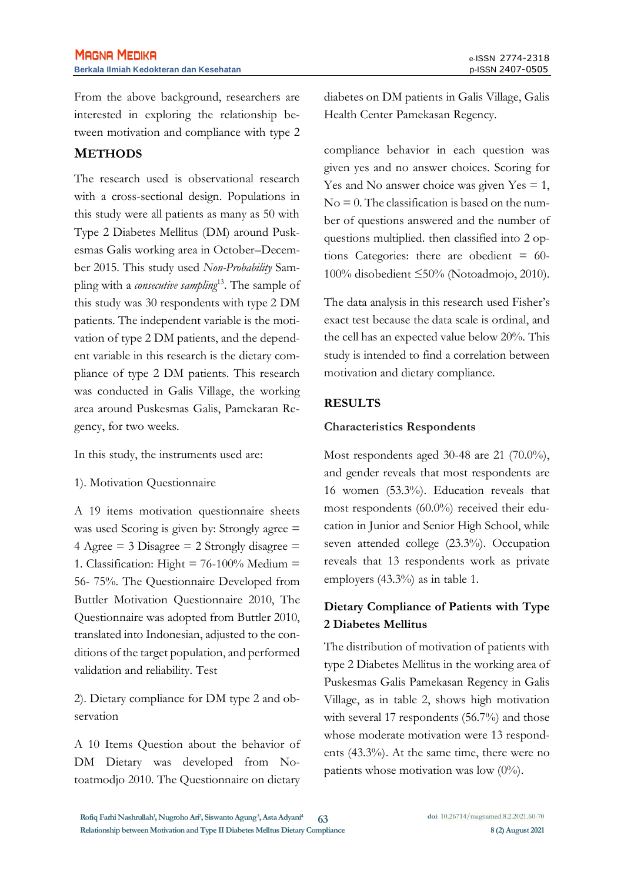From the above background, researchers are interested in exploring the relationship between motivation and compliance with type 2

# **METHODS**

The research used is observational research with a cross-sectional design. Populations in this study were all patients as many as 50 with Type 2 Diabetes Mellitus (DM) around Puskesmas Galis working area in October–December 2015. This study used *Non-Probability* Sampling with a *consecutive sampling*<sup>13</sup>. The sample of this study was 30 respondents with type 2 DM patients. The independent variable is the motivation of type 2 DM patients, and the dependent variable in this research is the dietary compliance of type 2 DM patients. This research was conducted in Galis Village, the working area around Puskesmas Galis, Pamekaran Regency, for two weeks.

In this study, the instruments used are:

#### 1). Motivation Questionnaire

A 19 items motivation questionnaire sheets was used Scoring is given by: Strongly agree = 4 Agree  $=$  3 Disagree  $=$  2 Strongly disagree  $=$ 1. Classification: Hight =  $76-100%$  Medium = 56- 75%. The Questionnaire Developed from Buttler Motivation Questionnaire 2010, The Questionnaire was adopted from Buttler 2010, translated into Indonesian, adjusted to the conditions of the target population, and performed validation and reliability. Test

2). Dietary compliance for DM type 2 and observation

A 10 Items Question about the behavior of DM Dietary was developed from Notoatmodjo 2010. The Questionnaire on dietary diabetes on DM patients in Galis Village, Galis Health Center Pamekasan Regency.

compliance behavior in each question was given yes and no answer choices. Scoring for Yes and No answer choice was given  $Yes = 1$ ,  $No = 0$ . The classification is based on the number of questions answered and the number of questions multiplied. then classified into 2 options Categories: there are obedient  $= 60$ -100% disobedient ≤50% (Notoadmojo, 2010).

The data analysis in this research used Fisher's exact test because the data scale is ordinal, and the cell has an expected value below 20%. This study is intended to find a correlation between motivation and dietary compliance.

### **RESULTS**

### **Characteristics Respondents**

Most respondents aged 30-48 are 21 (70.0%), and gender reveals that most respondents are 16 women (53.3%). Education reveals that most respondents (60.0%) received their education in Junior and Senior High School, while seven attended college (23.3%). Occupation reveals that 13 respondents work as private employers (43.3%) as in table 1.

# **Dietary Compliance of Patients with Type 2 Diabetes Mellitus**

The distribution of motivation of patients with type 2 Diabetes Mellitus in the working area of Puskesmas Galis Pamekasan Regency in Galis Village, as in table 2, shows high motivation with several 17 respondents (56.7%) and those whose moderate motivation were 13 respondents (43.3%). At the same time, there were no patients whose motivation was low  $(0\%)$ .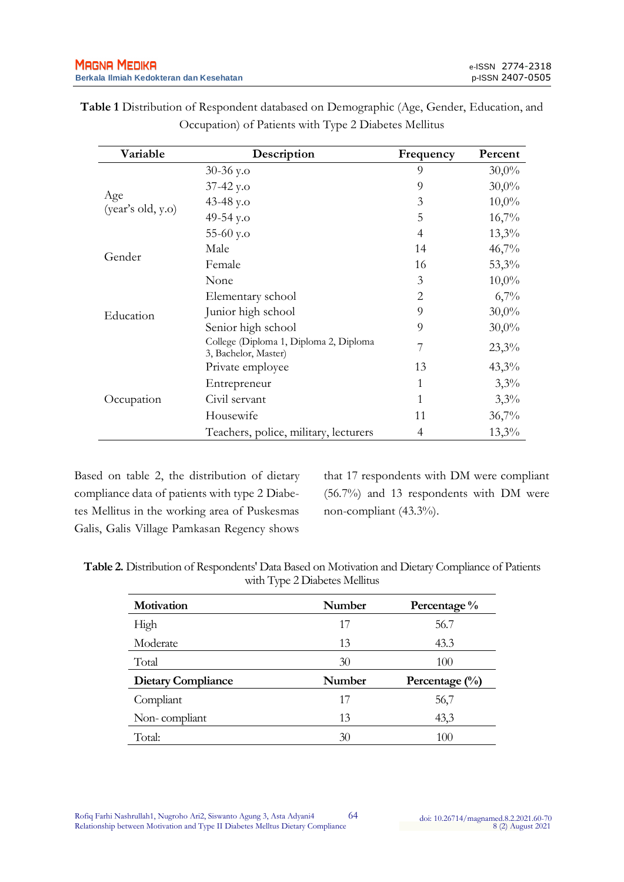| Variable                 | Description                                                    | Frequency      | Percent  |
|--------------------------|----------------------------------------------------------------|----------------|----------|
|                          | $30-36$ y.o                                                    | 9              | $30,0\%$ |
| Age<br>(year's old, y.o) | $37-42$ y.o                                                    | 9              | $30,0\%$ |
|                          | 43-48 y.o                                                      | 3              | $10,0\%$ |
|                          | 49-54 y.o                                                      | 5              | 16,7%    |
|                          | $55-60$ y.o                                                    | 4              | $13,3\%$ |
| Gender                   | Male                                                           | 14             | 46,7%    |
|                          | Female                                                         | 16             | 53,3%    |
| Education                | None                                                           | 3              | $10,0\%$ |
|                          | Elementary school                                              | 2              | 6,7%     |
|                          | Junior high school                                             | 9              | $30,0\%$ |
|                          | Senior high school                                             | 9              | $30,0\%$ |
|                          | College (Diploma 1, Diploma 2, Diploma<br>3, Bachelor, Master) | 7              | 23,3%    |
| Occupation               | Private employee                                               | 13             | $43,3\%$ |
|                          | Entrepreneur                                                   | 1              | 3,3%     |
|                          | Civil servant                                                  | 1              | 3,3%     |
|                          | Housewife                                                      | 11             | 36,7%    |
|                          | Teachers, police, military, lecturers                          | $\overline{4}$ | $13,3\%$ |

**Table 1** Distribution of Respondent databased on Demographic (Age, Gender, Education, and Occupation) of Patients with Type 2 Diabetes Mellitus

Based on table 2, the distribution of dietary compliance data of patients with type 2 Diabetes Mellitus in the working area of Puskesmas Galis, Galis Village Pamkasan Regency shows

that 17 respondents with DM were compliant (56.7%) and 13 respondents with DM were non-compliant (43.3%).

**Table 2.** Distribution of Respondents' Data Based on Motivation and Dietary Compliance of Patients with Type 2 Diabetes Mellitus

| Motivation                | Number | Percentage %     |  |
|---------------------------|--------|------------------|--|
| High                      | 17     | 56.7             |  |
| Moderate                  | 13     | 43.3             |  |
| Total                     | 30     | 100              |  |
| <b>Dietary Compliance</b> | Number | Percentage $(\%$ |  |
| Compliant                 | 17     | 56,7             |  |
| Non-compliant             | 13     | 43,3             |  |
| Total:                    | 30     | 100              |  |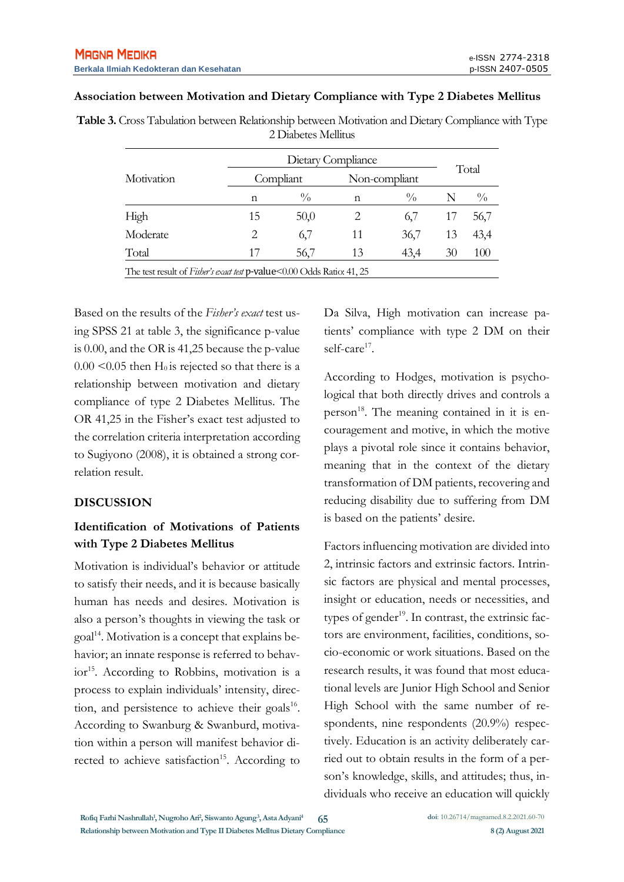#### **Association between Motivation and Dietary Compliance with Type 2 Diabetes Mellitus**

| Table 3. Cross Tabulation between Relationship between Motivation and Dietary Compliance with Type |  |
|----------------------------------------------------------------------------------------------------|--|
| 2 Diabetes Mellitus                                                                                |  |

| Motivation                                                             |           | Dietary Compliance |               |               |       |               |  |
|------------------------------------------------------------------------|-----------|--------------------|---------------|---------------|-------|---------------|--|
|                                                                        | Compliant |                    | Non-compliant |               | Total |               |  |
|                                                                        | n         | $\frac{0}{0}$      | n             | $\frac{0}{0}$ |       | $\frac{0}{0}$ |  |
| High                                                                   | 15        | 50,0               | 2             | 6/            | 17    | 56,7          |  |
| Moderate                                                               | 2         | 6,7                | 11            | 36,7          | 13    | 43,4          |  |
| Total                                                                  | 17        | 56,7               | 13            | 43,4          | 30    | 100           |  |
| The test result of Fisher's exact test p-value<0.00 Odds Ratio: 41, 25 |           |                    |               |               |       |               |  |

Based on the results of the *Fisher's exact* test using SPSS 21 at table 3, the significance p-value is 0.00, and the OR is 41,25 because the p-value  $0.00 \le 0.05$  then H<sub>0</sub> is rejected so that there is a relationship between motivation and dietary compliance of type 2 Diabetes Mellitus. The OR 41,25 in the Fisher's exact test adjusted to the correlation criteria interpretation according to Sugiyono (2008), it is obtained a strong correlation result.

#### **DISCUSSION**

# **Identification of Motivations of Patients with Type 2 Diabetes Mellitus**

Motivation is individual's behavior or attitude to satisfy their needs, and it is because basically human has needs and desires. Motivation is also a person's thoughts in viewing the task or goal<sup>14</sup>. Motivation is a concept that explains behavior; an innate response is referred to behavior<sup>15</sup>. According to Robbins, motivation is a process to explain individuals' intensity, direction, and persistence to achieve their goals<sup>16</sup>. According to Swanburg & Swanburd, motivation within a person will manifest behavior directed to achieve satisfaction<sup>15</sup>. According to

Da Silva, High motivation can increase patients' compliance with type 2 DM on their self-care<sup>17</sup>.

According to Hodges, motivation is psychological that both directly drives and controls a person<sup>18</sup>. The meaning contained in it is encouragement and motive, in which the motive plays a pivotal role since it contains behavior, meaning that in the context of the dietary transformation of DM patients, recovering and reducing disability due to suffering from DM is based on the patients' desire.

Factors influencing motivation are divided into 2, intrinsic factors and extrinsic factors. Intrinsic factors are physical and mental processes, insight or education, needs or necessities, and types of gender<sup>19</sup>. In contrast, the extrinsic factors are environment, facilities, conditions, socio-economic or work situations. Based on the research results, it was found that most educational levels are Junior High School and Senior High School with the same number of respondents, nine respondents (20.9%) respectively. Education is an activity deliberately carried out to obtain results in the form of a person's knowledge, skills, and attitudes; thus, individuals who receive an education will quickly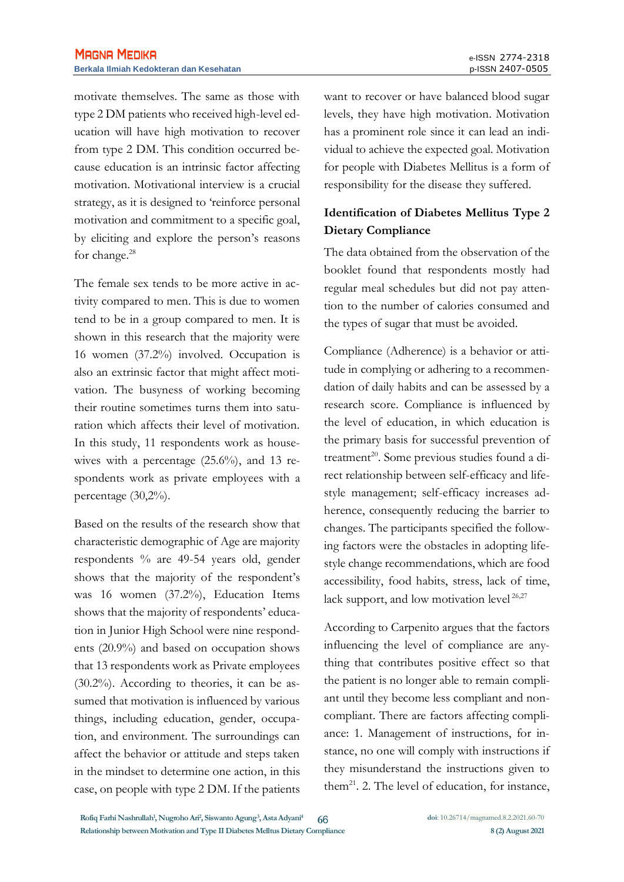motivate themselves. The same as those with type 2 DM patients who received high-level education will have high motivation to recover from type 2 DM. This condition occurred because education is an intrinsic factor affecting motivation. Motivational interview is a crucial strategy, as it is designed to 'reinforce personal motivation and commitment to a specific goal, by eliciting and explore the person's reasons for change.<sup>28</sup>

The female sex tends to be more active in activity compared to men. This is due to women tend to be in a group compared to men. It is shown in this research that the majority were 16 women (37.2%) involved. Occupation is also an extrinsic factor that might affect motivation. The busyness of working becoming their routine sometimes turns them into saturation which affects their level of motivation. In this study, 11 respondents work as housewives with a percentage (25.6%), and 13 respondents work as private employees with a percentage (30,2%).

Based on the results of the research show that characteristic demographic of Age are majority respondents % are 49-54 years old, gender shows that the majority of the respondent's was 16 women (37.2%), Education Items shows that the majority of respondents' education in Junior High School were nine respondents (20.9%) and based on occupation shows that 13 respondents work as Private employees (30.2%). According to theories, it can be assumed that motivation is influenced by various things, including education, gender, occupation, and environment. The surroundings can affect the behavior or attitude and steps taken in the mindset to determine one action, in this case, on people with type 2 DM. If the patients want to recover or have balanced blood sugar levels, they have high motivation. Motivation has a prominent role since it can lead an individual to achieve the expected goal. Motivation for people with Diabetes Mellitus is a form of responsibility for the disease they suffered.

# **Identification of Diabetes Mellitus Type 2 Dietary Compliance**

The data obtained from the observation of the booklet found that respondents mostly had regular meal schedules but did not pay attention to the number of calories consumed and the types of sugar that must be avoided.

Compliance (Adherence) is a behavior or attitude in complying or adhering to a recommendation of daily habits and can be assessed by a research score. Compliance is influenced by the level of education, in which education is the primary basis for successful prevention of treatment<sup>20</sup>. Some previous studies found a direct relationship between self-efficacy and lifestyle management; self-efficacy increases adherence, consequently reducing the barrier to changes. The participants specified the following factors were the obstacles in adopting lifestyle change recommendations, which are food accessibility, food habits, stress, lack of time, lack support, and low motivation level <sup>26,27</sup>

According to Carpenito argues that the factors influencing the level of compliance are anything that contributes positive effect so that the patient is no longer able to remain compliant until they become less compliant and noncompliant. There are factors affecting compliance: 1. Management of instructions, for instance, no one will comply with instructions if they misunderstand the instructions given to them<sup>21</sup>. 2. The level of education, for instance,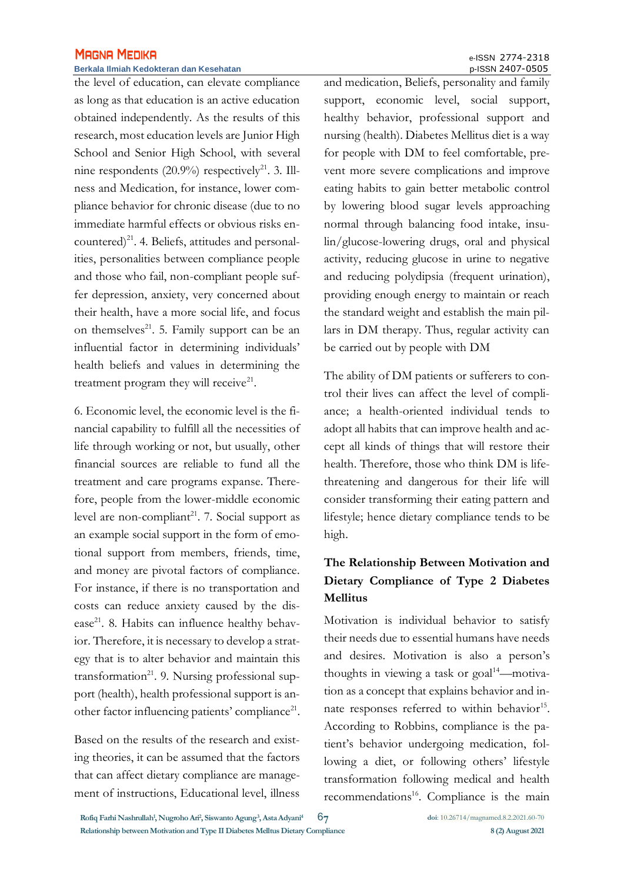#### **Berkala Ilmiah Kedokteran dan Kesehatan** p-ISSN 2407-0505

the level of education, can elevate compliance as long as that education is an active education obtained independently. As the results of this research, most education levels are Junior High School and Senior High School, with several nine respondents  $(20.9\%)$  respectively<sup>21</sup>. 3. Illness and Medication, for instance, lower compliance behavior for chronic disease (due to no immediate harmful effects or obvious risks encountered) $^{21}$ . 4. Beliefs, attitudes and personalities, personalities between compliance people and those who fail, non-compliant people suffer depression, anxiety, very concerned about their health, have a more social life, and focus on themselves $^{21}$ . 5. Family support can be an influential factor in determining individuals' health beliefs and values in determining the treatment program they will receive $21$ .

6. Economic level, the economic level is the financial capability to fulfill all the necessities of life through working or not, but usually, other financial sources are reliable to fund all the treatment and care programs expanse. Therefore, people from the lower-middle economic level are non-compliant<sup>21</sup>. 7. Social support as an example social support in the form of emotional support from members, friends, time, and money are pivotal factors of compliance. For instance, if there is no transportation and costs can reduce anxiety caused by the disease<sup>21</sup>. 8. Habits can influence healthy behavior. Therefore, it is necessary to develop a strategy that is to alter behavior and maintain this transformation<sup>21</sup>. 9. Nursing professional support (health), health professional support is another factor influencing patients' compliance<sup>21</sup>.

Based on the results of the research and existing theories, it can be assumed that the factors that can affect dietary compliance are management of instructions, Educational level, illness and medication, Beliefs, personality and family support, economic level, social support, healthy behavior, professional support and nursing (health). Diabetes Mellitus diet is a way for people with DM to feel comfortable, prevent more severe complications and improve eating habits to gain better metabolic control by lowering blood sugar levels approaching normal through balancing food intake, insulin/glucose-lowering drugs, oral and physical activity, reducing glucose in urine to negative and reducing polydipsia (frequent urination), providing enough energy to maintain or reach the standard weight and establish the main pillars in DM therapy. Thus, regular activity can be carried out by people with DM

The ability of DM patients or sufferers to control their lives can affect the level of compliance; a health-oriented individual tends to adopt all habits that can improve health and accept all kinds of things that will restore their health. Therefore, those who think DM is lifethreatening and dangerous for their life will consider transforming their eating pattern and lifestyle; hence dietary compliance tends to be high.

# **The Relationship Between Motivation and Dietary Compliance of Type 2 Diabetes Mellitus**

Motivation is individual behavior to satisfy their needs due to essential humans have needs and desires. Motivation is also a person's thoughts in viewing a task or  $\text{goal}^{14}$ —motivation as a concept that explains behavior and innate responses referred to within behavior<sup>15</sup>. According to Robbins, compliance is the patient's behavior undergoing medication, following a diet, or following others' lifestyle transformation following medical and health recommendations<sup>16</sup>. Compliance is the main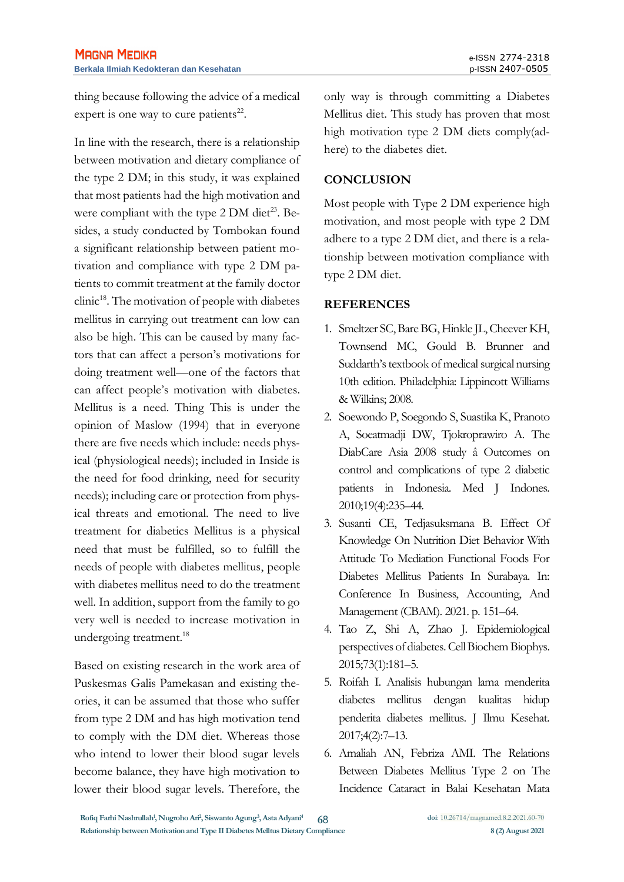thing because following the advice of a medical expert is one way to cure patients $^{22}$ .

In line with the research, there is a relationship between motivation and dietary compliance of the type 2 DM; in this study, it was explained that most patients had the high motivation and were compliant with the type  $2 DM$  diet<sup>23</sup>. Besides, a study conducted by Tombokan found a significant relationship between patient motivation and compliance with type 2 DM patients to commit treatment at the family doctor clinic<sup>18</sup>. The motivation of people with diabetes mellitus in carrying out treatment can low can also be high. This can be caused by many factors that can affect a person's motivations for doing treatment well—one of the factors that can affect people's motivation with diabetes. Mellitus is a need. Thing This is under the opinion of Maslow (1994) that in everyone there are five needs which include: needs physical (physiological needs); included in Inside is the need for food drinking, need for security needs); including care or protection from physical threats and emotional. The need to live treatment for diabetics Mellitus is a physical need that must be fulfilled, so to fulfill the needs of people with diabetes mellitus, people with diabetes mellitus need to do the treatment well. In addition, support from the family to go very well is needed to increase motivation in undergoing treatment.<sup>18</sup>

Based on existing research in the work area of Puskesmas Galis Pamekasan and existing theories, it can be assumed that those who suffer from type 2 DM and has high motivation tend to comply with the DM diet. Whereas those who intend to lower their blood sugar levels become balance, they have high motivation to lower their blood sugar levels. Therefore, the only way is through committing a Diabetes Mellitus diet. This study has proven that most high motivation type 2 DM diets comply(adhere) to the diabetes diet.

### **CONCLUSION**

Most people with Type 2 DM experience high motivation, and most people with type 2 DM adhere to a type 2 DM diet, and there is a relationship between motivation compliance with type 2 DM diet.

### **REFERENCES**

- 1. Smeltzer SC, Bare BG, Hinkle JL, Cheever KH, Townsend MC, Gould B. Brunner and Suddarth's textbook of medical surgical nursing 10th edition. Philadelphia: Lippincott Williams & Wilkins; 2008.
- 2. Soewondo P, Soegondo S, Suastika K, Pranoto A, Soeatmadji DW, Tjokroprawiro A. The DiabCare Asia 2008 study â Outcomes on control and complications of type 2 diabetic patients in Indonesia. Med J Indones. 2010;19(4):235–44.
- 3. Susanti CE, Tedjasuksmana B. Effect Of Knowledge On Nutrition Diet Behavior With Attitude To Mediation Functional Foods For Diabetes Mellitus Patients In Surabaya. In: Conference In Business, Accounting, And Management (CBAM). 2021. p. 151–64.
- 4. Tao Z, Shi A, Zhao J. Epidemiological perspectives of diabetes. Cell Biochem Biophys. 2015;73(1):181–5.
- 5. Roifah I. Analisis hubungan lama menderita diabetes mellitus dengan kualitas hidup penderita diabetes mellitus. J Ilmu Kesehat. 2017;4(2):7–13.
- 6. Amaliah AN, Febriza AMI. The Relations Between Diabetes Mellitus Type 2 on The Incidence Cataract in Balai Kesehatan Mata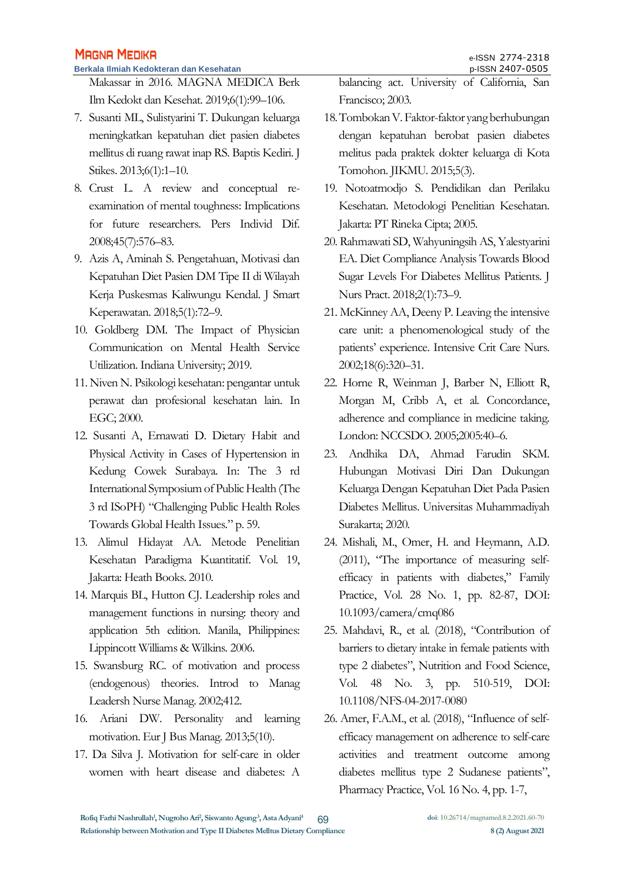Makassar in 2016. MAGNA MEDICA Berk Ilm Kedokt dan Kesehat. 2019;6(1):99–106.

- 7. Susanti ML, Sulistyarini T. Dukungan keluarga meningkatkan kepatuhan diet pasien diabetes mellitus di ruang rawat inap RS. Baptis Kediri. J Stikes. 2013;6(1):1–10.
- 8. Crust L. A review and conceptual reexamination of mental toughness: Implications for future researchers. Pers Individ Dif. 2008;45(7):576–83.
- 9. Azis A, Aminah S. Pengetahuan, Motivasi dan Kepatuhan Diet Pasien DM Tipe II di Wilayah Kerja Puskesmas Kaliwungu Kendal. J Smart Keperawatan. 2018;5(1):72–9.
- 10. Goldberg DM. The Impact of Physician Communication on Mental Health Service Utilization. Indiana University; 2019.
- 11. Niven N. Psikologi kesehatan: pengantar untuk perawat dan profesional kesehatan lain. In EGC; 2000.
- 12. Susanti A, Ernawati D. Dietary Habit and Physical Activity in Cases of Hypertension in Kedung Cowek Surabaya. In: The 3 rd International Symposium of Public Health (The 3 rd ISoPH) "Challenging Public Health Roles Towards Global Health Issues." p. 59.
- 13. Alimul Hidayat AA. Metode Penelitian Kesehatan Paradigma Kuantitatif. Vol. 19, Jakarta: Heath Books. 2010.
- 14. Marquis BL, Hutton CJ. Leadership roles and management functions in nursing: theory and application 5th edition. Manila, Philippines: Lippincott Williams & Wilkins. 2006.
- 15. Swansburg RC. of motivation and process (endogenous) theories. Introd to Manag Leadersh Nurse Manag. 2002;412.
- 16. Ariani DW. Personality and learning motivation. Eur J Bus Manag. 2013;5(10).
- 17. Da Silva J. Motivation for self-care in older women with heart disease and diabetes: A

balancing act. University of California, San Francisco; 2003.

- 18. Tombokan V. Faktor-faktor yang berhubungan dengan kepatuhan berobat pasien diabetes melitus pada praktek dokter keluarga di Kota Tomohon. JIKMU. 2015;5(3).
- 19. Notoatmodjo S. Pendidikan dan Perilaku Kesehatan. Metodologi Penelitian Kesehatan. Jakarta: PT Rineka Cipta; 2005.
- 20. Rahmawati SD, Wahyuningsih AS, Yalestyarini EA. Diet Compliance Analysis Towards Blood Sugar Levels For Diabetes Mellitus Patients. J Nurs Pract. 2018;2(1):73–9.
- 21. McKinney AA, Deeny P. Leaving the intensive care unit: a phenomenological study of the patients' experience. Intensive Crit Care Nurs. 2002;18(6):320–31.
- 22. Horne R, Weinman J, Barber N, Elliott R, Morgan M, Cribb A, et al. Concordance, adherence and compliance in medicine taking. London: NCCSDO. 2005;2005:40–6.
- 23. Andhika DA, Ahmad Farudin SKM. Hubungan Motivasi Diri Dan Dukungan Keluarga Dengan Kepatuhan Diet Pada Pasien Diabetes Mellitus. Universitas Muhammadiyah Surakarta; 2020.
- 24. Mishali, M., Omer, H. and Heymann, A.D. (2011), "The importance of measuring selfefficacy in patients with diabetes," Family Practice, Vol. 28 No. 1, pp. 82-87, DOI: 10.1093/camera/cmq086
- 25. Mahdavi, R., et al. (2018), "Contribution of barriers to dietary intake in female patients with type 2 diabetes", Nutrition and Food Science, Vol. 48 No. 3, pp. 510-519, DOI: 10.1108/NFS-04-2017-0080
- 26. Amer, F.A.M., et al. (2018), "Influence of selfefficacy management on adherence to self-care activities and treatment outcome among diabetes mellitus type 2 Sudanese patients", Pharmacy Practice, Vol. 16 No. 4, pp. 1-7,